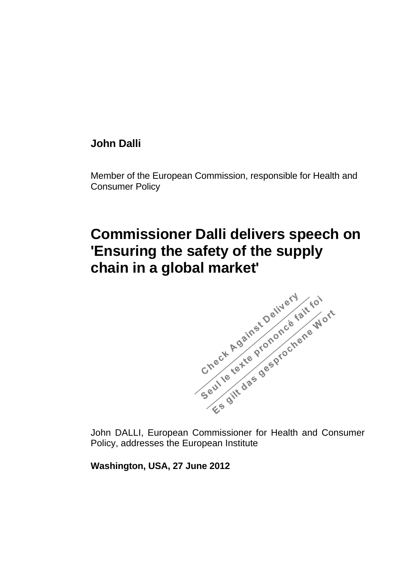# **John Dalli**

Member of the European Commission, responsible for Health and Consumer Policy

# **Commissioner Dalli delivers speech on chain in a global market'**



John DALLI, European Commissioner for Health and Consumer Policy, addresses the European Institute

**Washington, USA, 27 June 2012**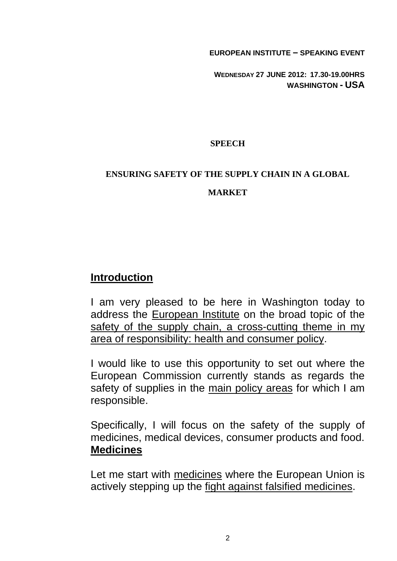**EUROPEAN INSTITUTE – SPEAKING EVENT**

**WEDNESDAY 27 JUNE 2012: 17.30-19.00HRS WASHINGTON - USA** 

### **SPEECH**

#### **ENSURING SAFETY OF THE SUPPLY CHAIN IN A GLOBAL**

#### **MARKET**

# **Introduction**

I am very pleased to be here in Washington today to address the European Institute on the broad topic of the safety of the supply chain, a cross-cutting theme in my area of responsibility: health and consumer policy.

I would like to use this opportunity to set out where the European Commission currently stands as regards the safety of supplies in the main policy areas for which I am responsible.

Specifically, I will focus on the safety of the supply of medicines, medical devices, consumer products and food. **Medicines**

Let me start with medicines where the European Union is actively stepping up the fight against falsified medicines.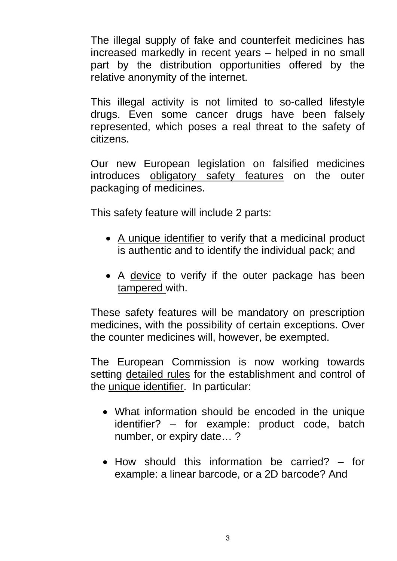The illegal supply of fake and counterfeit medicines has increased markedly in recent years – helped in no small part by the distribution opportunities offered by the relative anonymity of the internet.

This illegal activity is not limited to so-called lifestyle drugs. Even some cancer drugs have been falsely represented, which poses a real threat to the safety of citizens.

Our new European legislation on falsified medicines introduces obligatory safety features on the outer packaging of medicines.

This safety feature will include 2 parts:

- A unique identifier to verify that a medicinal product is authentic and to identify the individual pack; and
- A device to verify if the outer package has been tampered with.

These safety features will be mandatory on prescription medicines, with the possibility of certain exceptions. Over the counter medicines will, however, be exempted.

The European Commission is now working towards setting detailed rules for the establishment and control of the unique identifier. In particular:

- What information should be encoded in the unique identifier? – for example: product code, batch number, or expiry date… ?
- How should this information be carried? for example: a linear barcode, or a 2D barcode? And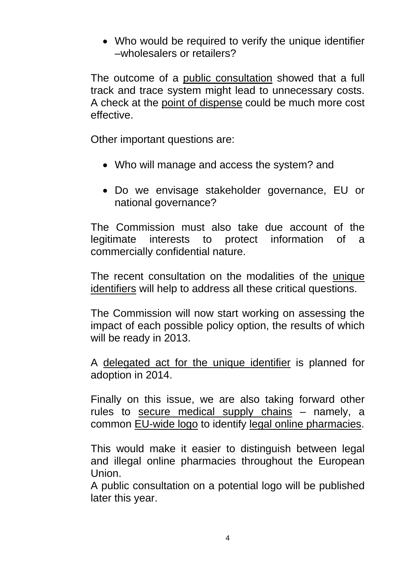• Who would be required to verify the unique identifier –wholesalers or retailers?

The outcome of a public consultation showed that a full track and trace system might lead to unnecessary costs. A check at the point of dispense could be much more cost effective.

Other important questions are:

- Who will manage and access the system? and
- Do we envisage stakeholder governance, EU or national governance?

The Commission must also take due account of the legitimate interests to protect information of a commercially confidential nature.

The recent consultation on the modalities of the unique identifiers will help to address all these critical questions.

The Commission will now start working on assessing the impact of each possible policy option, the results of which will be ready in 2013.

A delegated act for the unique identifier is planned for adoption in 2014.

Finally on this issue, we are also taking forward other rules to secure medical supply chains – namely, a common EU-wide logo to identify legal online pharmacies.

This would make it easier to distinguish between legal and illegal online pharmacies throughout the European Union.

A public consultation on a potential logo will be published later this year.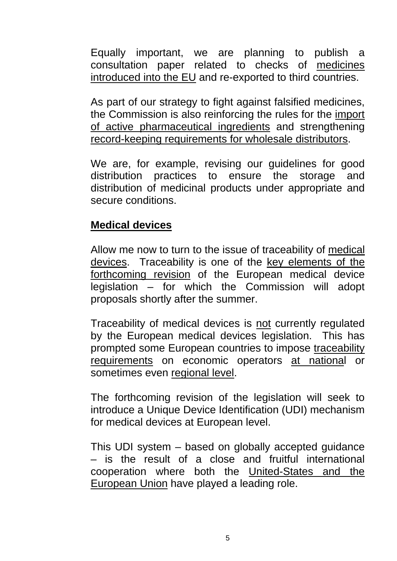Equally important, we are planning to publish a consultation paper related to checks of medicines introduced into the EU and re-exported to third countries.

As part of our strategy to fight against falsified medicines, the Commission is also reinforcing the rules for the import of active pharmaceutical ingredients and strengthening record-keeping requirements for wholesale distributors.

We are, for example, revising our guidelines for good distribution practices to ensure the storage and distribution of medicinal products under appropriate and secure conditions.

# **Medical devices**

Allow me now to turn to the issue of traceability of medical devices. Traceability is one of the key elements of the forthcoming revision of the European medical device legislation – for which the Commission will adopt proposals shortly after the summer.

Traceability of medical devices is not currently regulated by the European medical devices legislation. This has prompted some European countries to impose traceability requirements on economic operators at national or sometimes even regional level.

The forthcoming revision of the legislation will seek to introduce a Unique Device Identification (UDI) mechanism for medical devices at European level.

This UDI system – based on globally accepted guidance – is the result of a close and fruitful international cooperation where both the United-States and the European Union have played a leading role.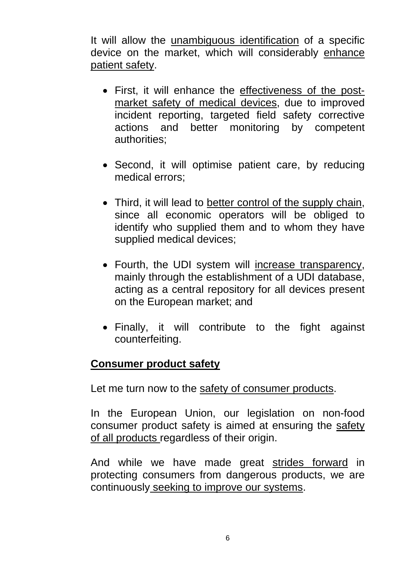It will allow the unambiguous identification of a specific device on the market, which will considerably enhance patient safety.

- First, it will enhance the effectiveness of the postmarket safety of medical devices, due to improved incident reporting, targeted field safety corrective actions and better monitoring by competent authorities;
- Second, it will optimise patient care, by reducing medical errors;
- Third, it will lead to better control of the supply chain, since all economic operators will be obliged to identify who supplied them and to whom they have supplied medical devices;
- Fourth, the UDI system will increase transparency, mainly through the establishment of a UDI database, acting as a central repository for all devices present on the European market; and
- Finally, it will contribute to the fight against counterfeiting.

## **Consumer product safety**

Let me turn now to the safety of consumer products.

In the European Union, our legislation on non-food consumer product safety is aimed at ensuring the safety of all products regardless of their origin.

And while we have made great strides forward in protecting consumers from dangerous products, we are continuously seeking to improve our systems.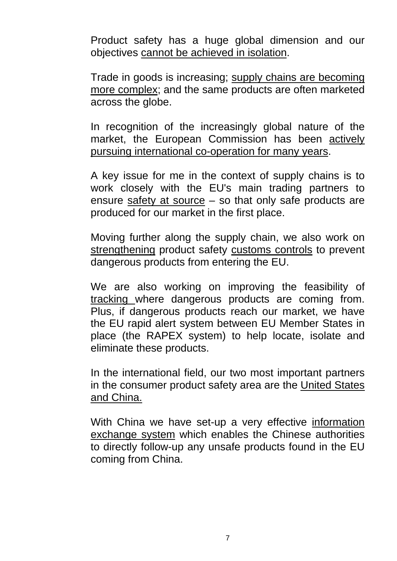Product safety has a huge global dimension and our objectives cannot be achieved in isolation.

Trade in goods is increasing; supply chains are becoming more complex; and the same products are often marketed across the globe.

In recognition of the increasingly global nature of the market, the European Commission has been actively pursuing international co-operation for many years.

A key issue for me in the context of supply chains is to work closely with the EU's main trading partners to ensure safety at source – so that only safe products are produced for our market in the first place.

Moving further along the supply chain, we also work on strengthening product safety customs controls to prevent dangerous products from entering the EU.

We are also working on improving the feasibility of tracking where dangerous products are coming from. Plus, if dangerous products reach our market, we have the EU rapid alert system between EU Member States in place (the RAPEX system) to help locate, isolate and eliminate these products.

In the international field, our two most important partners in the consumer product safety area are the United States and China.

With China we have set-up a very effective information exchange system which enables the Chinese authorities to directly follow-up any unsafe products found in the EU coming from China.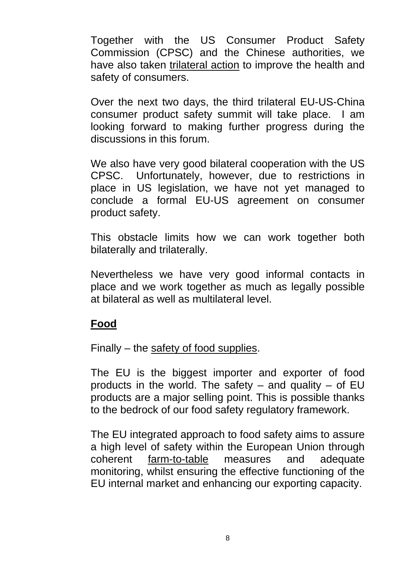Together with the US Consumer Product Safety Commission (CPSC) and the Chinese authorities, we have also taken trilateral action to improve the health and safety of consumers.

Over the next two days, the third trilateral EU-US-China consumer product safety summit will take place. I am looking forward to making further progress during the discussions in this forum.

We also have very good bilateral cooperation with the US CPSC. Unfortunately, however, due to restrictions in place in US legislation, we have not yet managed to conclude a formal EU-US agreement on consumer product safety.

This obstacle limits how we can work together both bilaterally and trilaterally.

Nevertheless we have very good informal contacts in place and we work together as much as legally possible at bilateral as well as multilateral level.

## **Food**

Finally – the safety of food supplies.

The EU is the biggest importer and exporter of food products in the world. The safety  $-$  and quality  $-$  of EU products are a major selling point. This is possible thanks to the bedrock of our food safety regulatory framework.

The EU integrated approach to food safety aims to assure a high level of safety within the European Union through coherent farm-to-table measures and adequate monitoring, whilst ensuring the effective functioning of the EU internal market and enhancing our exporting capacity.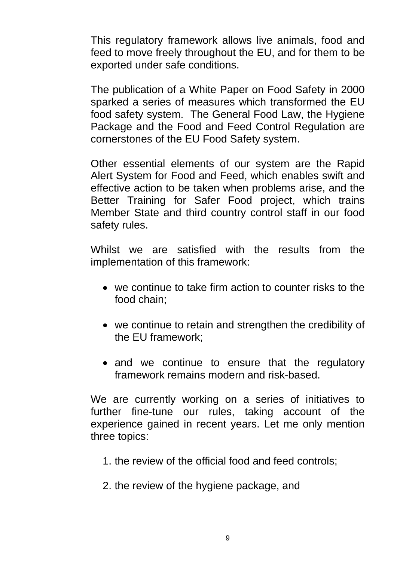This regulatory framework allows live animals, food and feed to move freely throughout the EU, and for them to be exported under safe conditions.

The publication of a White Paper on Food Safety in 2000 sparked a series of measures which transformed the EU food safety system. The General Food Law, the Hygiene Package and the Food and Feed Control Regulation are cornerstones of the EU Food Safety system.

Other essential elements of our system are the Rapid Alert System for Food and Feed, which enables swift and effective action to be taken when problems arise, and the Better Training for Safer Food project, which trains Member State and third country control staff in our food safety rules.

Whilst we are satisfied with the results from the implementation of this framework:

- we continue to take firm action to counter risks to the food chain;
- we continue to retain and strengthen the credibility of the EU framework;
- and we continue to ensure that the regulatory framework remains modern and risk-based.

We are currently working on a series of initiatives to further fine-tune our rules, taking account of the experience gained in recent years. Let me only mention three topics:

- 1. the review of the official food and feed controls;
- 2. the review of the hygiene package, and